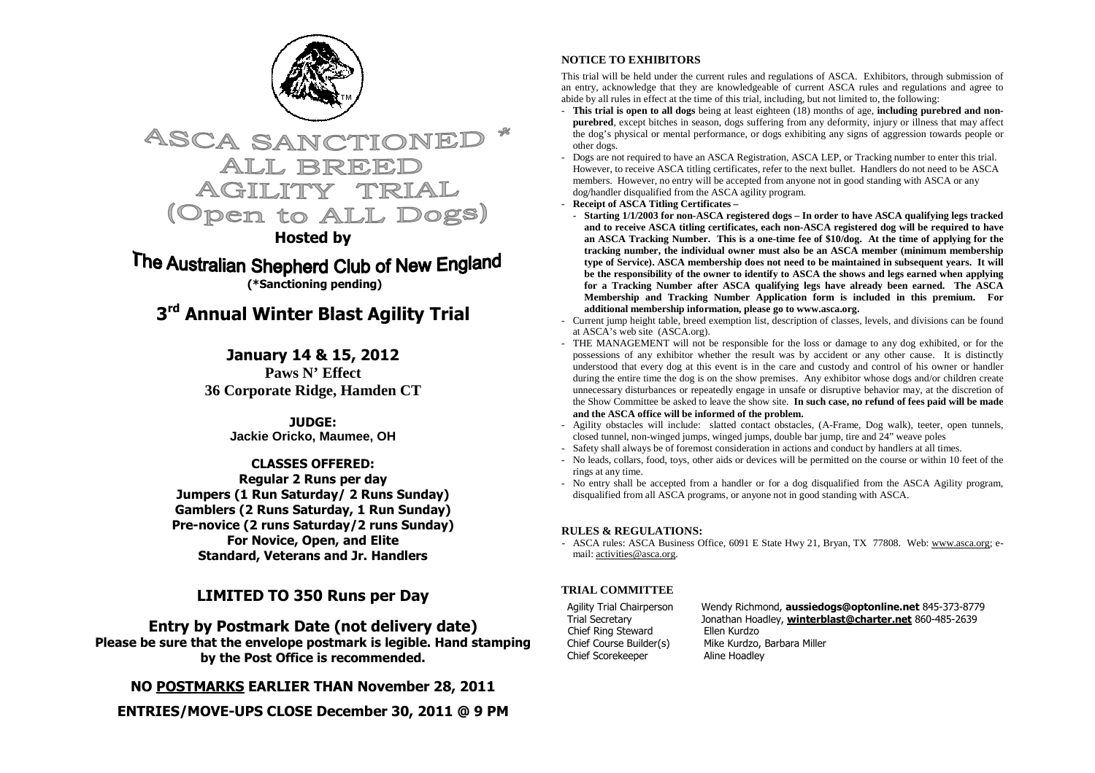



## **Hosted by**

The Australian Shepherd Club of New England  **(\*Sanctioning pending)** 

## **3rd Annual Winter Blast Agility Trial**

**January 14 & 15, 2012** Paws N' Effect **36 Corporate Ridge, Hamden CT**

> **JUDGE: Jackie Oricko, Maumee, OH**

## **CLASSES OFFERED:**

 **Regular 2 Runs per day Jumpers (1 Run Saturday/ 2 Runs Sunday) Gamblers (2 Runs Saturday, 1 Run Sunday) Pre-novice (2 runs Saturday/2 runs Sunday) For Novice, Open, and Elite Standard, Veterans and Jr. Handlers** 

## **LIMITED TO 350 Runs per Day**

**Entry by Postmark Date (not delivery date) Please be sure that the envelope postmark is legible. Hand stamping by the Post Office is recommended.** 

**NO POSTMARKS EARLIER THAN November 28, 2011** 

**ENTRIES/MOVE-UPS CLOSE December 30, 2011 @ 9 PM** 

### **NOTICE TO EXHIBITORS**

This trial will be held under the current rules and regulations of ASCA. Exhibitors, through submission of an entry, acknowledge that they are knowledgeable of current ASCA rules and regulations and agree to abide by all rules in effect at the time of this trial, including, but not limited to, the following: -

- **This trial is open to all dogs** being at least eighteen (18) months of age, **including purebred and nonpurebred**, except bitches in season, dogs suffering from any deformity, injury or illness that may affect the dog's physical or mental performance, or dogs exhibiting any signs of aggression towards people or
- other dogs. Dogs are not required to have an ASCA Registration, ASCA LEP, or Tracking number to enter this trial. However, to receive ASCA titling certificates, refer to the next bullet. Handlers do not need to be ASCA members. However, no entry will be accepted from anyone not in good standing with ASCA or any dog/handler disqualified from the ASCA agility program.
- **Receipt of ASCA Titling Certificates**
- **Starting 1/1/2003 for non-ASCA registered dogs In order to have ASCA qualifying legs tracked and to receive ASCA titling certificates, each non-ASCA registered dog will be required to have an ASCA Tracking Number. This is a one-time fee of \$10/dog. At the time of applying for the tracking number, the individual owner must also be an ASCA member (minimum membership type of Service). ASCA membership does not need to be maintained in subsequent years. It will be the responsibility of the owner to identify to ASCA the shows and legs earned when applying for a Tracking Number after ASCA qualifying legs have already been earned. The ASCA Membership and Tracking Number Application form is included in this premium. For additional membership information, please go to www.asca.org.**
- Current jump height table, breed exemption list, description of classes, levels, and divisions can be found
- at ASCA's web site (ASCA.org). THE MANAGEMENT will not be responsible for the loss or damage to any dog exhibited, or for the possessions of any exhibitor whether the result was by accident or any other cause. It is distinctly understood that every dog at this event is in the care and custody and control of his owner or handler during the entire time the dog is on the show premises. Any exhibitor whose dogs and/or children create unnecessary disturbances or repeatedly engage in unsafe or disruptive behavior may, at the discretion of the Show Committee be asked to leave the show site. **In such case, no refund of fees paid will be made and the ASCA office will be informed of the problem.**
- Agility obstacles will include: slatted contact obstacles, (A-Frame, Dog walk), teeter, open tunnels, closed tunnel, non-winged jumps, winged jumps, double bar jump, tire and 24" weave poles -
- Safety shall always be of foremost consideration in actions and conduct by handlers at all times.
- No leads, collars, food, toys, other aids or devices will be permitted on the course or within 10 feet of the
- rings at any time. No entry shall be accepted from a handler or for a dog disqualified from the ASCA Agility program, disqualified from all ASCA programs, or anyone not in good standing with ASCA.

#### **RULES & REGULATIONS:**

- ASCA rules: ASCA Business Office, 6091 E State Hwy 21, Bryan, TX 77808. Web: www.asca.org; email: activities@asca.org.

#### **TRIAL COMMITTEE**

 Chief Ring Steward Ellen Kurdzo Chief Scorekeeper Aline Hoadley

Agility Trial Chairperson Wendy Richmond, **aussiedogs@optonline.net** 845-373-8779 Trial Secretary Jonathan Hoadley, **winterblast@charter.net** 860-485-2639 Chief Course Builder(s) Mike Kurdzo, Barbara Miller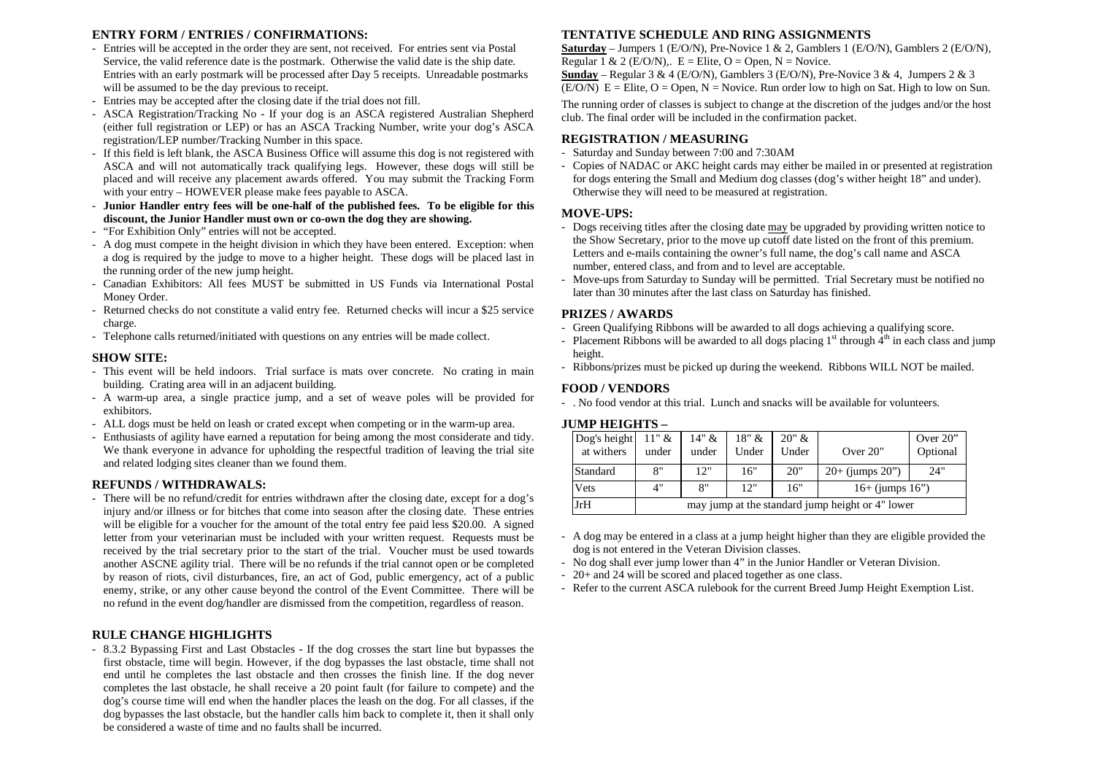#### **ENTRY FORM / ENTRIES / CONFIRMATIONS:**

- Entries will be accepted in the order they are sent, not received. For entries sent via Postal Service, the valid reference date is the postmark. Otherwise the valid date is the ship date. Entries with an early postmark will be processed after Day 5 receipts. Unreadable postmarks will be assumed to be the day previous to receipt.
- Entries may be accepted after the closing date if the trial does not fill.
- ASCA Registration/Tracking No If your dog is an ASCA registered Australian Shepherd (either full registration or LEP) or has an ASCA Tracking Number, write your dog's ASCA registration/LEP number/Tracking Number in this space.
- If this field is left blank, the ASCA Business Office will assume this dog is not registered with ASCA and will not automatically track qualifying legs. However, these dogs will still be placed and will receive any placement awards offered. You may submit the Tracking Form with your entry – HOWEVER please make fees payable to ASCA.
- **Junior Handler entry fees will be one-half of the published fees. To be eligible for this discount, the Junior Handler must own or co-own the dog they are showing.**
- "For Exhibition Only" entries will not be accepted.
- A dog must compete in the height division in which they have been entered. Exception: when a dog is required by the judge to move to a higher height. These dogs will be placed last in the running order of the new jump height.
- Canadian Exhibitors: All fees MUST be submitted in US Funds via International Postal Money Order.
- Returned checks do not constitute a valid entry fee. Returned checks will incur a \$25 service charge.
- Telephone calls returned/initiated with questions on any entries will be made collect.

#### **SHOW SITE:**

- This event will be held indoors. Trial surface is mats over concrete. No crating in main building. Crating area will in an adjacent building.
- A warm-up area, a single practice jump, and a set of weave poles will be provided for exhibitors.
- ALL dogs must be held on leash or crated except when competing or in the warm-up area.
- Enthusiasts of agility have earned a reputation for being among the most considerate and tidy. We thank everyone in advance for upholding the respectful tradition of leaving the trial site and related lodging sites cleaner than we found them.

#### **REFUNDS / WITHDRAWALS:**

 - There will be no refund/credit for entries withdrawn after the closing date, except for a dog's injury and/or illness or for bitches that come into season after the closing date. These entries will be eligible for a voucher for the amount of the total entry fee paid less \$20.00. A signed letter from your veterinarian must be included with your written request. Requests must be received by the trial secretary prior to the start of the trial. Voucher must be used towards another ASCNE agility trial. There will be no refunds if the trial cannot open or be completed by reason of riots, civil disturbances, fire, an act of God, public emergency, act of a public enemy, strike, or any other cause beyond the control of the Event Committee. There will be no refund in the event dog/handler are dismissed from the competition, regardless of reason.

#### **RULE CHANGE HIGHLIGHTS**

 - 8.3.2 Bypassing First and Last Obstacles - If the dog crosses the start line but bypasses the first obstacle, time will begin. However, if the dog bypasses the last obstacle, time shall not end until he completes the last obstacle and then crosses the finish line. If the dog never completes the last obstacle, he shall receive a 20 point fault (for failure to compete) and the dog's course time will end when the handler places the leash on the dog. For all classes, if the dog bypasses the last obstacle, but the handler calls him back to complete it, then it shall only be considered a waste of time and no faults shall be incurred.

#### **TENTATIVE SCHEDULE AND RING ASSIGNMENTS**

 **Saturday** – Jumpers 1 (E/O/N), Pre-Novice 1 & 2, Gamblers 1 (E/O/N), Gamblers 2 (E/O/N), Regular 1 & 2 (E/O/N),.  $E =$  Elite, O = Open, N = Novice.

**Sunday** – Regular 3 & 4 (E/O/N), Gamblers 3 (E/O/N), Pre-Novice 3 & 4, Jumpers 2 & 3  $(E/O/N)$   $E =$  Elite,  $O =$  Open,  $N =$  Novice. Run order low to high on Sat. High to low on Sun.

The running order of classes is subject to change at the discretion of the judges and/or the host club. The final order will be included in the confirmation packet.

#### **REGISTRATION / MEASURING**

- Saturday and Sunday between 7:00 and 7:30AM
- Copies of NADAC or AKC height cards may either be mailed in or presented at registration for dogs entering the Small and Medium dog classes (dog's wither height 18" and under). Otherwise they will need to be measured at registration.

#### **MOVE-UPS:**

- Dogs receiving titles after the closing date may be upgraded by providing written notice to the Show Secretary, prior to the move up cutoff date listed on the front of this premium. Letters and e-mails containing the owner's full name, the dog's call name and ASCA number, entered class, and from and to level are acceptable.
- Move-ups from Saturday to Sunday will be permitted. Trial Secretary must be notified no later than 30 minutes after the last class on Saturday has finished.

#### **PRIZES / AWARDS**

- Green Qualifying Ribbons will be awarded to all dogs achieving a qualifying score.
- Placement Ribbons will be awarded to all dogs placing  $1<sup>st</sup>$  through  $4<sup>th</sup>$  in each class and jump height.
- Ribbons/prizes must be picked up during the weekend. Ribbons WILL NOT be mailed.

#### **FOOD / VENDORS**

- . No food vendor at this trial. Lunch and snacks will be available for volunteers.

#### **JUMP HEIGHTS –**

| Dog's height<br>at withers | 11" &<br>under                                   | 14" &<br>under | 18" &<br>Under | 20" &<br>Under | Over 20"             | Over $20$ "<br>Optional |  |  |  |  |
|----------------------------|--------------------------------------------------|----------------|----------------|----------------|----------------------|-------------------------|--|--|--|--|
| Standard                   | 8"                                               | 12"            | 16"            | 20"            | $20+$ (jumps $20$ ") | 24"                     |  |  |  |  |
| Vets                       | 4"                                               | 8"             | 12"            | 16"            | $16+$ (jumps $16"$ ) |                         |  |  |  |  |
| JrH                        | may jump at the standard jump height or 4" lower |                |                |                |                      |                         |  |  |  |  |

- A dog may be entered in a class at a jump height higher than they are eligible provided the dog is not entered in the Veteran Division classes.
- No dog shall ever jump lower than 4" in the Junior Handler or Veteran Division.
- 20+ and 24 will be scored and placed together as one class.
- Refer to the current ASCA rulebook for the current Breed Jump Height Exemption List.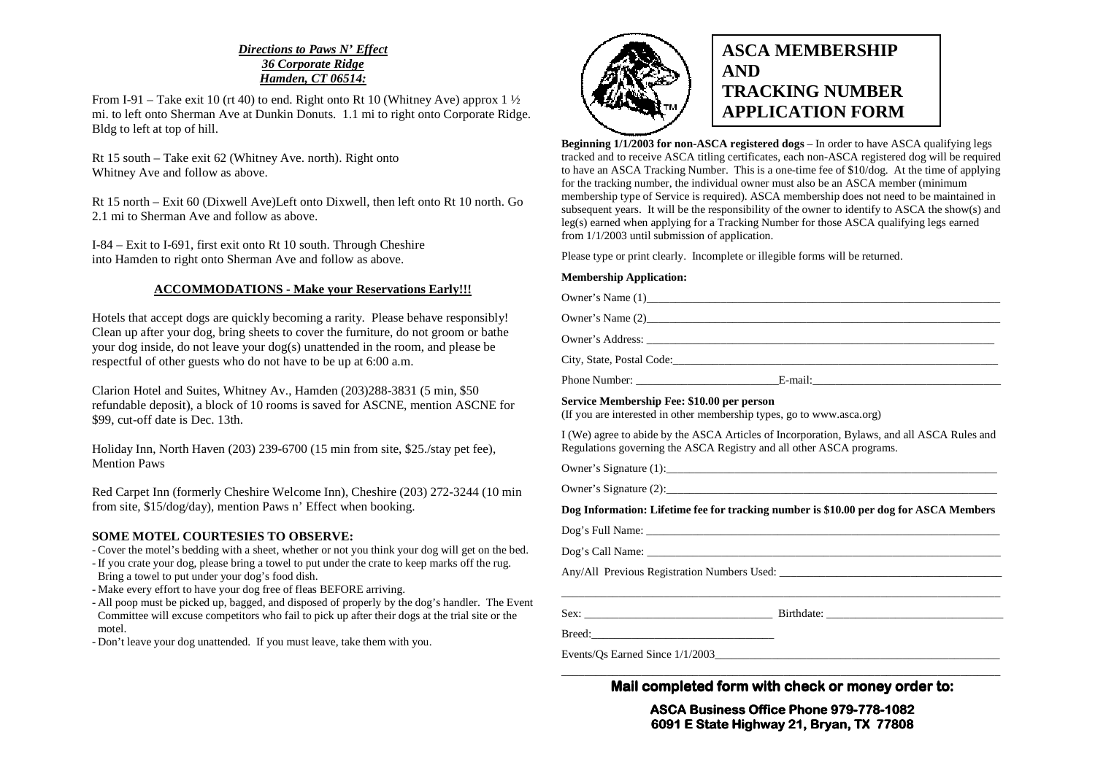## *Directions to Paws N' Effect36 Corporate RidgeHamden, CT 06514:*

From I-91 – Take exit 10 (rt 40) to end. Right onto Rt 10 (Whitney Ave) approx 1  $\frac{1}{2}$  mi. to left onto Sherman Ave at Dunkin Donuts. 1.1 mi to right onto Corporate Ridge. Bldg to left at top of hill.

Rt 15 south – Take exit 62 (Whitney Ave. north). Right onto Whitney Ave and follow as above.

Rt 15 north – Exit 60 (Dixwell Ave)Left onto Dixwell, then left onto Rt 10 north. Go 2.1 mi to Sherman Ave and follow as above.

I-84 – Exit to I-691, first exit onto Rt 10 south. Through Cheshire into Hamden to right onto Sherman Ave and follow as above.

### **ACCOMMODATIONS - Make your Reservations Early!!!**

Hotels that accept dogs are quickly becoming a rarity. Please behave responsibly! Clean up after your dog, bring sheets to cover the furniture, do not groom or bathe your dog inside, do not leave your dog(s) unattended in the room, and please be respectful of other guests who do not have to be up at 6:00 a.m.

Clarion Hotel and Suites, Whitney Av., Hamden (203)288-3831 (5 min, \$50 refundable deposit), a block of 10 rooms is saved for ASCNE, mention ASCNE for \$99, cut-off date is Dec. 13th.

Holiday Inn, North Haven (203) 239-6700 (15 min from site, \$25./stay pet fee), Mention Paws

Red Carpet Inn (formerly Cheshire Welcome Inn), Cheshire (203) 272-3244 (10 min from site, \$15/dog/day), mention Paws n' Effect when booking.

#### **SOME MOTEL COURTESIES TO OBSERVE:**

- Cover the motel's bedding with a sheet, whether or not you think your dog will get on the bed.

- If you crate your dog, please bring a towel to put under the crate to keep marks off the rug. Bring a towel to put under your dog's food dish.
- Make every effort to have your dog free of fleas BEFORE arriving.
- All poop must be picked up, bagged, and disposed of properly by the dog's handler. The Event Committee will excuse competitors who fail to pick up after their dogs at the trial site or the motel.

- Don't leave your dog unattended. If you must leave, take them with you.



# **ASCA MEMBERSHIP AND TRACKING NUMBER APPLICATION FORM**

**Beginning 1/1/2003 for non-ASCA registered dogs** – In order to have ASCA qualifying legs tracked and to receive ASCA titling certificates, each non-ASCA registered dog will be required to have an ASCA Tracking Number. This is a one-time fee of \$10/dog. At the time of applying for the tracking number, the individual owner must also be an ASCA member (minimum membership type of Service is required). ASCA membership does not need to be maintained in subsequent years. It will be the responsibility of the owner to identify to ASCA the show(s) and leg(s) earned when applying for a Tracking Number for those ASCA qualifying legs earned from 1/1/2003 until submission of application.

Please type or print clearly. Incomplete or illegible forms will be returned.

#### **Membership Application:**

Owner's Name  $(1)$ Owner's Name (2) Owner's Address: City, State, Postal Code: Phone Number: \_\_\_\_\_\_\_\_\_\_\_\_\_\_\_\_\_\_\_\_\_\_\_\_\_E-mail:\_\_\_\_\_\_\_\_\_\_\_\_\_\_\_\_\_\_\_\_\_\_\_\_\_\_\_\_\_\_\_\_\_

#### **Service Membership Fee: \$10.00 per person**

(If you are interested in other membership types, go to www.asca.org)

I (We) agree to abide by the ASCA Articles of Incorporation, Bylaws, and all ASCA Rules and Regulations governing the ASCA Registry and all other ASCA programs.

Owner's Signature (1):\_\_\_\_\_\_\_\_\_\_\_\_\_\_\_\_\_\_\_\_\_\_\_\_\_\_\_\_\_\_\_\_\_\_\_\_\_\_\_\_\_\_\_\_\_\_\_\_\_\_\_\_\_\_\_\_\_\_

Owner's Signature  $(2)$ :

**Dog Information: Lifetime fee for tracking number is \$10.00 per dog for ASCA Members** 

| Dog's Full Name: |
|------------------|
|------------------|

Dog's Call Name: \_\_\_\_\_\_\_\_\_\_\_\_\_\_\_\_\_\_\_\_\_\_\_\_\_\_\_\_\_\_\_\_\_\_\_\_\_\_\_\_\_\_\_\_\_\_\_\_\_\_\_\_\_\_\_\_\_\_\_\_\_\_

Any/All Previous Registration Numbers Used: \_\_\_\_\_\_\_\_\_\_\_\_\_\_\_\_\_\_\_\_\_\_\_\_\_\_\_\_\_\_\_\_\_\_\_\_\_\_\_ \_\_\_\_\_\_\_\_\_\_\_\_\_\_\_\_\_\_\_\_\_\_\_\_\_\_\_\_\_\_\_\_\_\_\_\_\_\_\_\_\_\_\_\_\_\_\_\_\_\_\_\_\_\_\_\_\_\_\_\_\_\_\_\_\_\_\_\_\_\_\_\_\_\_\_\_\_

Sex: \_\_\_\_\_\_\_\_\_\_\_\_\_\_\_\_\_\_\_\_\_\_\_\_\_\_\_\_\_\_\_\_\_ Birthdate: \_\_\_\_\_\_\_\_\_\_\_\_\_\_\_\_\_\_\_\_\_\_\_\_\_\_\_\_\_\_\_

Breed:\_\_\_\_\_\_\_\_\_\_\_\_\_\_\_\_\_\_\_\_\_\_\_\_\_\_\_\_\_\_\_\_

Events/Os Earned Since  $1/1/2003$ 

**Mail completed form with check or money order to:** 

**ASCA Business Office Phone 979 Office fice 979-778-1082 6091 E State Highway 21, Bryan, TX 77808 Highway 77808**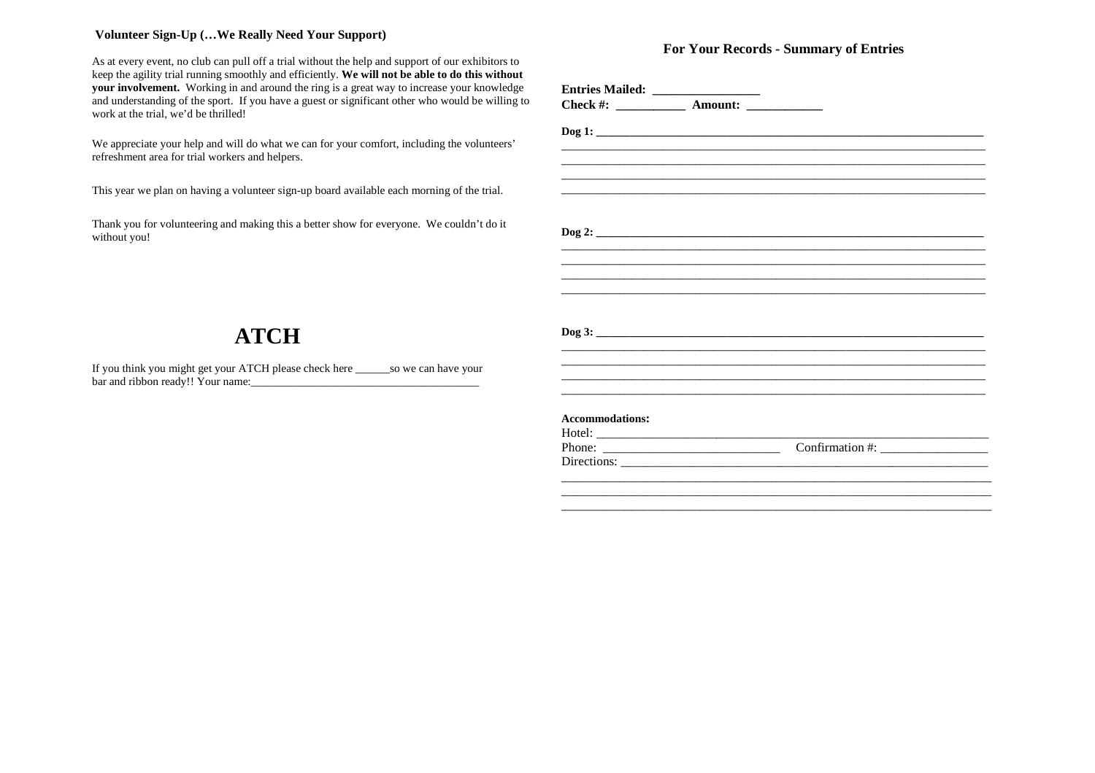### **Volunteer Sign-Up (…We Really Need Your Support)**

As at every event, no club can pull off a trial without the help and support of our exhibitors to keep the agility trial running smoothly and efficiently. **We will not be able to do this without your involvement.** Working in and around the ring is a great way to increase your knowledge and understanding of the sport. If you have a guest or significant other who would be willing to work at the trial, we'd be thrilled!

We appreciate your help and will do what we can for your comfort, including the volunteers' refreshment area for trial workers and helpers.

This year we plan on having a volunteer sign-up board available each morning of the trial.

Thank you for volunteering and making this a better show for everyone. We couldn't do it without you!

## **For Your Records - Summary of Entries**

|                                                           | ,我们也不会有什么。""我们的人,我们也不会有什么?""我们的人,我们也不会有什么?""我们的人,我们也不会有什么?""我们的人,我们也不会有什么?""我们的人 |                                                                                                                                                                                                                                      |
|-----------------------------------------------------------|----------------------------------------------------------------------------------|--------------------------------------------------------------------------------------------------------------------------------------------------------------------------------------------------------------------------------------|
|                                                           |                                                                                  |                                                                                                                                                                                                                                      |
|                                                           |                                                                                  |                                                                                                                                                                                                                                      |
|                                                           |                                                                                  |                                                                                                                                                                                                                                      |
|                                                           |                                                                                  |                                                                                                                                                                                                                                      |
|                                                           |                                                                                  |                                                                                                                                                                                                                                      |
|                                                           |                                                                                  |                                                                                                                                                                                                                                      |
|                                                           |                                                                                  |                                                                                                                                                                                                                                      |
|                                                           | ,我们也不会有什么?""我们的人,我们也不会有什么?""我们的人,我们也不会有什么?""我们的人,我们也不会有什么?""我们的人,我们也不会有什么?""我们的人 |                                                                                                                                                                                                                                      |
|                                                           |                                                                                  |                                                                                                                                                                                                                                      |
|                                                           |                                                                                  |                                                                                                                                                                                                                                      |
| <b>Accommodations:</b>                                    |                                                                                  |                                                                                                                                                                                                                                      |
|                                                           |                                                                                  | <u> De Santa Carlos de Santa Carlos de Santa Carlos de Santa Carlos de Santa Carlos de Santa Carlos de Santa Carlos de Santa Carlos de Santa Carlos de Santa Carlos de Santa Carlos de Santa Carlos de Santa Carlos de Santa Car</u> |
| Phone: $\frac{1}{\sqrt{1-\frac{1}{2}} \cdot \frac{1}{2}}$ |                                                                                  |                                                                                                                                                                                                                                      |
|                                                           |                                                                                  |                                                                                                                                                                                                                                      |
|                                                           |                                                                                  |                                                                                                                                                                                                                                      |
|                                                           |                                                                                  |                                                                                                                                                                                                                                      |
|                                                           |                                                                                  |                                                                                                                                                                                                                                      |

# **ATCH**

If you think you might get your ATCH please check here \_\_\_\_\_\_so we can have your bar and ribbon ready!! Your name:\_\_\_\_\_\_\_\_\_\_\_\_\_\_\_\_\_\_\_\_\_\_\_\_\_\_\_\_\_\_\_\_\_\_\_\_\_\_\_\_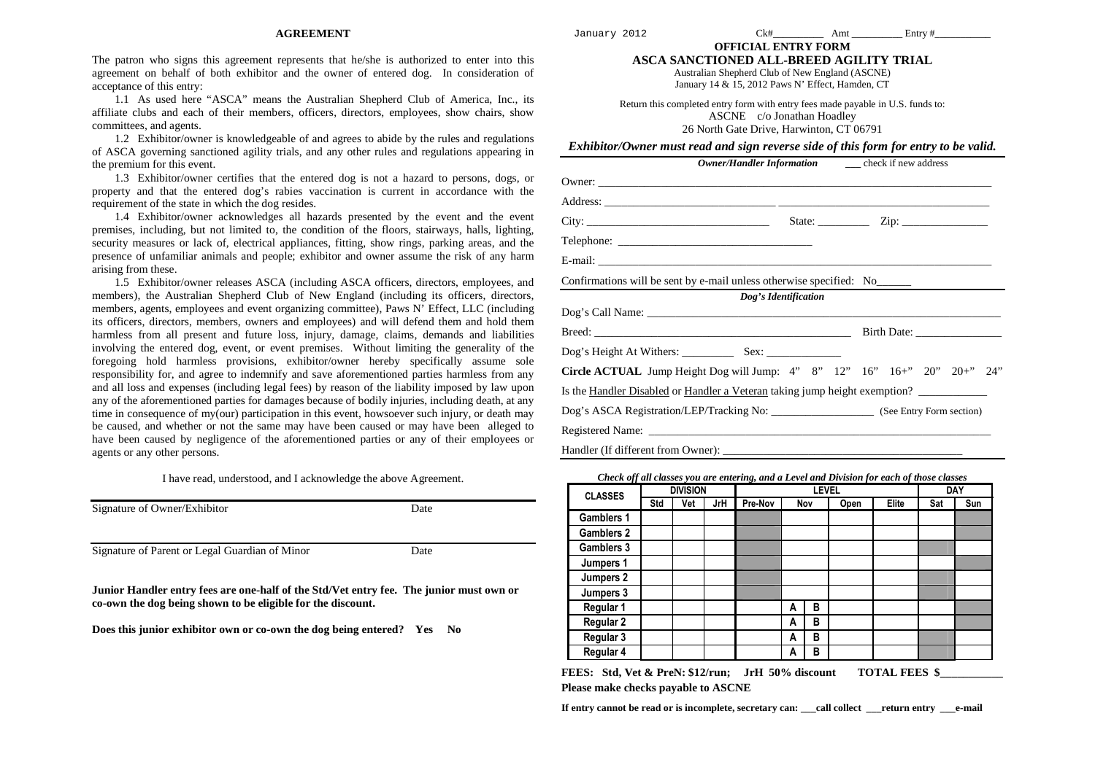#### **AGREEMENT**

The patron who signs this agreement represents that he/she is authorized to enter into this agreement on behalf of both exhibitor and the owner of entered dog. In consideration of acceptance of this entry:

 1.1 As used here "ASCA" means the Australian Shepherd Club of America, Inc., its affiliate clubs and each of their members, officers, directors, employees, show chairs, show committees, and agents.

 1.2 Exhibitor/owner is knowledgeable of and agrees to abide by the rules and regulations of ASCA governing sanctioned agility trials, and any other rules and regulations appearing in the premium for this event.

 1.3 Exhibitor/owner certifies that the entered dog is not a hazard to persons, dogs, or property and that the entered dog's rabies vaccination is current in accordance with the requirement of the state in which the dog resides.

 1.4 Exhibitor/owner acknowledges all hazards presented by the event and the event premises, including, but not limited to, the condition of the floors, stairways, halls, lighting, security measures or lack of, electrical appliances, fitting, show rings, parking areas, and the presence of unfamiliar animals and people; exhibitor and owner assume the risk of any harm arising from these.

 1.5 Exhibitor/owner releases ASCA (including ASCA officers, directors, employees, and members), the Australian Shepherd Club of New England (including its officers, directors, members, agents, employees and event organizing committee), Paws N' Effect, LLC (including its officers, directors, members, owners and employees) and will defend them and hold them harmless from all present and future loss, injury, damage, claims, demands and liabilities involving the entered dog, event, or event premises. Without limiting the generality of the foregoing hold harmless provisions, exhibitor/owner hereby specifically assume sole responsibility for, and agree to indemnify and save aforementioned parties harmless from any and all loss and expenses (including legal fees) by reason of the liability imposed by law upon any of the aforementioned parties for damages because of bodily injuries, including death, at any time in consequence of my(our) participation in this event, howsoever such injury, or death may be caused, and whether or not the same may have been caused or may have been alleged to have been caused by negligence of the aforementioned parties or any of their employees or agents or any other persons.

I have read, understood, and I acknowledge the above Agreement.

| Signature of Owner/Exhibitor                   | Date |
|------------------------------------------------|------|
| Signature of Parent or Legal Guardian of Minor | Date |

**Junior Handler entry fees are one-half of the Std/Vet entry fee. The junior must own or co-own the dog being shown to be eligible for the discount.** 

**Does this junior exhibitor own or co-own the dog being entered? Yes No** 

January 2012 Ck#\_\_\_\_\_\_\_\_\_\_ Amt \_\_\_\_\_\_\_\_\_\_ Entry #\_\_\_\_\_\_\_\_\_\_\_

**OFFICIAL ENTRY FORM ASCA SANCTIONED ALL-BREED AGILITY TRIAL** 

Australian Shepherd Club of New England (ASCNE)

January 14 & 15, 2012 Paws N' Effect, Hamden, CT

Return this completed entry form with entry fees made payable in U.S. funds to: ASCNE c/o Jonathan Hoadley 26 North Gate Drive, Harwinton, CT 06791

*Exhibitor/Owner must read and sign reverse side of this form for entry to be valid.* 

| <b>Owner/Handler Information</b> _____________ check if new address<br>State: $\qquad \qquad \text{Zip: } \qquad \qquad$<br>Confirmations will be sent by e-mail unless otherwise specified: No<br>Dog's Identification<br>Circle ACTUAL Jump Height Dog will Jump: 4" 8" 12" 16" 16+" 20" 20+" 24"<br>Is the <u>Handler Disabled</u> or Handler a Veteran taking jump height exemption? |  |  |  |  |  |  |  |
|------------------------------------------------------------------------------------------------------------------------------------------------------------------------------------------------------------------------------------------------------------------------------------------------------------------------------------------------------------------------------------------|--|--|--|--|--|--|--|
|                                                                                                                                                                                                                                                                                                                                                                                          |  |  |  |  |  |  |  |
|                                                                                                                                                                                                                                                                                                                                                                                          |  |  |  |  |  |  |  |
|                                                                                                                                                                                                                                                                                                                                                                                          |  |  |  |  |  |  |  |
|                                                                                                                                                                                                                                                                                                                                                                                          |  |  |  |  |  |  |  |
|                                                                                                                                                                                                                                                                                                                                                                                          |  |  |  |  |  |  |  |
|                                                                                                                                                                                                                                                                                                                                                                                          |  |  |  |  |  |  |  |
|                                                                                                                                                                                                                                                                                                                                                                                          |  |  |  |  |  |  |  |
|                                                                                                                                                                                                                                                                                                                                                                                          |  |  |  |  |  |  |  |
|                                                                                                                                                                                                                                                                                                                                                                                          |  |  |  |  |  |  |  |
|                                                                                                                                                                                                                                                                                                                                                                                          |  |  |  |  |  |  |  |
|                                                                                                                                                                                                                                                                                                                                                                                          |  |  |  |  |  |  |  |
|                                                                                                                                                                                                                                                                                                                                                                                          |  |  |  |  |  |  |  |
|                                                                                                                                                                                                                                                                                                                                                                                          |  |  |  |  |  |  |  |
|                                                                                                                                                                                                                                                                                                                                                                                          |  |  |  |  |  |  |  |
|                                                                                                                                                                                                                                                                                                                                                                                          |  |  |  |  |  |  |  |

*Check off all classes you are entering, and a Level and Division for each of those classes* 

| <b>CLASSES</b>    |     | <b>DIVISION</b> |     |         | <b>DAY</b> |     |      |       |     |     |
|-------------------|-----|-----------------|-----|---------|------------|-----|------|-------|-----|-----|
|                   | Std | Vet             | JrH | Pre-Nov |            | Nov | Open | Elite | Sat | Sun |
| <b>Gamblers 1</b> |     |                 |     |         |            |     |      |       |     |     |
| <b>Gamblers 2</b> |     |                 |     |         |            |     |      |       |     |     |
| Gamblers 3        |     |                 |     |         |            |     |      |       |     |     |
| Jumpers 1         |     |                 |     |         |            |     |      |       |     |     |
| Jumpers 2         |     |                 |     |         |            |     |      |       |     |     |
| Jumpers 3         |     |                 |     |         |            |     |      |       |     |     |
| Regular 1         |     |                 |     |         | A          | в   |      |       |     |     |
| Regular 2         |     |                 |     |         | A          | в   |      |       |     |     |
| Regular 3         |     |                 |     |         | A          | в   |      |       |     |     |
| Regular 4         |     |                 |     |         | A          | в   |      |       |     |     |

**FEES:** Std, Vet & PreN: \$12/run; JrH 50% discount TOTAL FEES \$ **Please make checks payable to ASCNE** 

**If entry cannot be read or is incomplete, secretary can: \_\_\_call collect \_\_\_return entry \_\_\_e-mail**